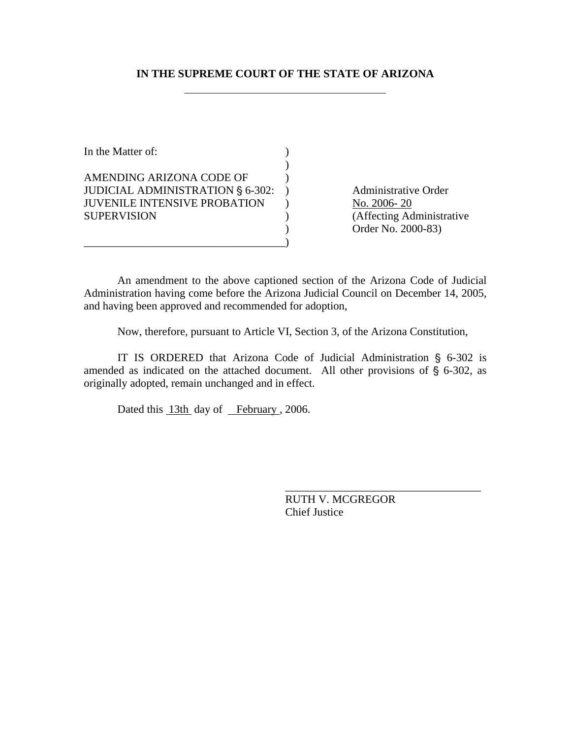## **IN THE SUPREME COURT OF THE STATE OF ARIZONA**

| In the Matter of:                       |  |
|-----------------------------------------|--|
|                                         |  |
| AMENDING ARIZONA CODE OF                |  |
| <b>JUDICIAL ADMINISTRATION § 6-302:</b> |  |
| <b>JUVENILE INTENSIVE PROBATION</b>     |  |
| <b>SUPERVISION</b>                      |  |
|                                         |  |
|                                         |  |

Administrative Order No. 2006- 20 (Affecting Administrative ) Order No. 2000-83)

An amendment to the above captioned section of the Arizona Code of Judicial Administration having come before the Arizona Judicial Council on December 14, 2005, and having been approved and recommended for adoption,

Now, therefore, pursuant to Article VI, Section 3, of the Arizona Constitution,

IT IS ORDERED that Arizona Code of Judicial Administration  $\S$  6-302 is amended as indicated on the attached document. All other provisions of  $\S$  6-302, as originally adopted, remain unchanged and in effect.

Dated this 13th day of February, 2006.

RUTH V. MCGREGOR Chief Justice

\_\_\_\_\_\_\_\_\_\_\_\_\_\_\_\_\_\_\_\_\_\_\_\_\_\_\_\_\_\_\_\_\_\_\_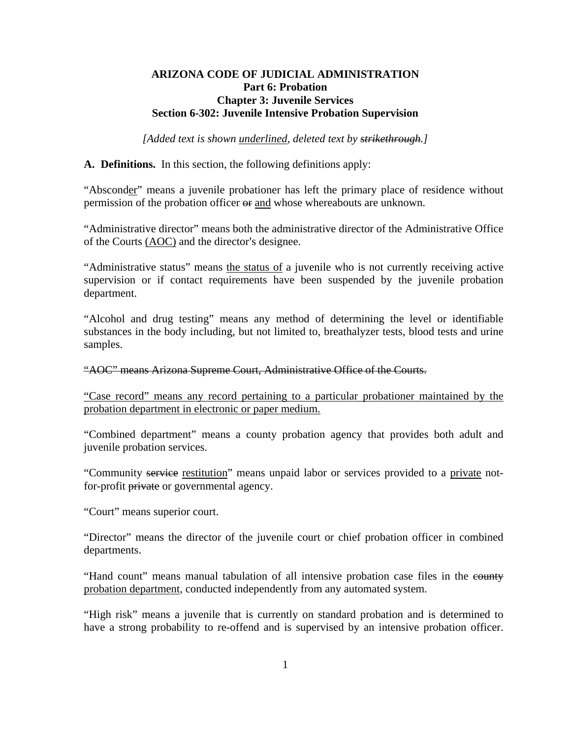### **ARIZONA CODE OF JUDICIAL ADMINISTRATION Part 6: Probation Chapter 3: Juvenile Services Section 6-302: Juvenile Intensive Probation Supervision**

*[Added text is shown underlined, deleted text by strikethrough.]* 

**A. Definitions.** In this section, the following definitions apply:

"Absconder" means a juvenile probationer has left the primary place of residence without permission of the probation officer  $\Theta$  and whose whereabouts are unknown.

"Administrative director" means both the administrative director of the Administrative Office of the Courts (AOC) and the director's designee.

"Administrative status" means the status of a juvenile who is not currently receiving active supervision or if contact requirements have been suspended by the juvenile probation department.

"Alcohol and drug testing" means any method of determining the level or identifiable substances in the body including, but not limited to, breathalyzer tests, blood tests and urine samples.

"AOC" means Arizona Supreme Court, Administrative Office of the Courts.

"Case record" means any record pertaining to a particular probationer maintained by the probation department in electronic or paper medium.

"Combined department" means a county probation agency that provides both adult and juvenile probation services.

"Community service restitution" means unpaid labor or services provided to a private notfor-profit private or governmental agency.

"Court" means superior court.

"Director" means the director of the juvenile court or chief probation officer in combined departments.

"Hand count" means manual tabulation of all intensive probation case files in the county probation department, conducted independently from any automated system.

"High risk" means a juvenile that is currently on standard probation and is determined to have a strong probability to re-offend and is supervised by an intensive probation officer.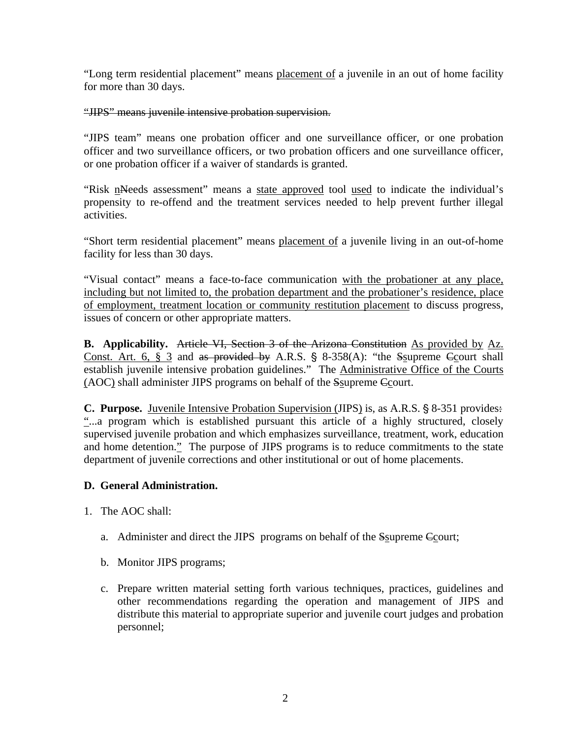"Long term residential placement" means placement of a juvenile in an out of home facility for more than 30 days.

"JIPS" means juvenile intensive probation supervision.

"JIPS team" means one probation officer and one surveillance officer, or one probation officer and two surveillance officers, or two probation officers and one surveillance officer, or one probation officer if a waiver of standards is granted.

"Risk nNeeds assessment" means a state approved tool used to indicate the individual's propensity to re-offend and the treatment services needed to help prevent further illegal activities.

"Short term residential placement" means placement of a juvenile living in an out-of-home facility for less than 30 days.

"Visual contact" means a face-to-face communication with the probationer at any place, including but not limited to, the probation department and the probationer's residence, place of employment, treatment location or community restitution placement to discuss progress, issues of concern or other appropriate matters.

**B.** Applicability. Article VI, Section 3 of the Arizona Constitution As provided by Az. Const. Art. 6,  $\S$  3 and as provided by A.R.S.  $\S$  8-358(A): "the Ssupreme Court shall establish juvenile intensive probation guidelines." The Administrative Office of the Courts (AOC) shall administer JIPS programs on behalf of the Ssupreme Ccourt.

**C. Purpose.** Juvenile Intensive Probation Supervision (JIPS) is, as A.R.S. § 8-351 provides: "...a program which is established pursuant this article of a highly structured, closely supervised juvenile probation and which emphasizes surveillance, treatment, work, education and home detention." The purpose of JIPS programs is to reduce commitments to the state department of juvenile corrections and other institutional or out of home placements.

# **D. General Administration.**

- 1. The AOC shall:
	- a. Administer and direct the JIPS programs on behalf of the Ssupreme Ccourt;
	- b. Monitor JIPS programs;
	- c. Prepare written material setting forth various techniques, practices, guidelines and other recommendations regarding the operation and management of JIPS and distribute this material to appropriate superior and juvenile court judges and probation personnel;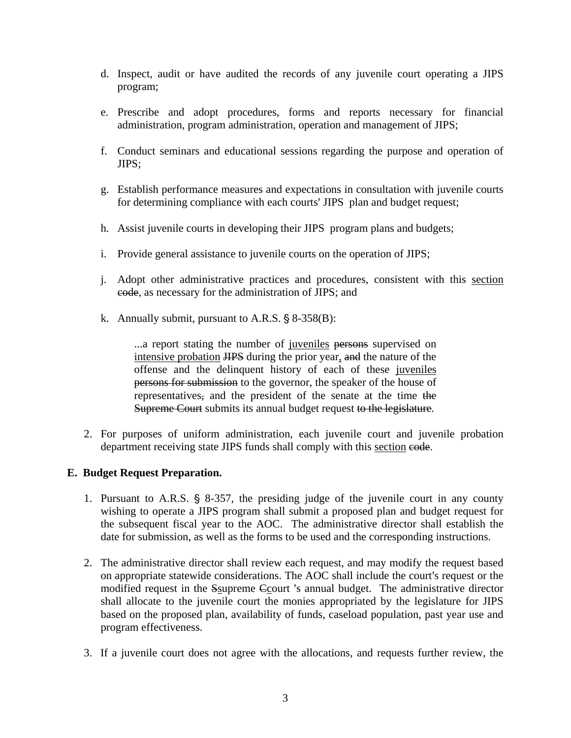- d. Inspect, audit or have audited the records of any juvenile court operating a JIPS program;
- e. Prescribe and adopt procedures, forms and reports necessary for financial administration, program administration, operation and management of JIPS;
- f. Conduct seminars and educational sessions regarding the purpose and operation of JIPS;
- g. Establish performance measures and expectations in consultation with juvenile courts for determining compliance with each courts' JIPS plan and budget request;
- h. Assist juvenile courts in developing their JIPS program plans and budgets;
- i. Provide general assistance to juvenile courts on the operation of JIPS;
- j. Adopt other administrative practices and procedures, consistent with this section code, as necessary for the administration of JIPS; and
- k. Annually submit, pursuant to A.R.S.  $\S$  8-358(B):

...a report stating the number of juveniles persons supervised on intensive probation JIPS during the prior year, and the nature of the offense and the delinquent history of each of these juveniles persons for submission to the governor, the speaker of the house of representatives, and the president of the senate at the time the Supreme Court submits its annual budget request to the legislature*.*

2. For purposes of uniform administration, each juvenile court and juvenile probation department receiving state JIPS funds shall comply with this section code.

## **E. Budget Request Preparation.**

- 1. Pursuant to A.R.S.  $\S$  8-357, the presiding judge of the juvenile court in any county wishing to operate a JIPS program shall submit a proposed plan and budget request for the subsequent fiscal year to the AOC. The administrative director shall establish the date for submission, as well as the forms to be used and the corresponding instructions.
- 2. The administrative director shall review each request, and may modify the request based on appropriate statewide considerations. The AOC shall include the court's request or the modified request in the Ssupreme Ccourt 's annual budget. The administrative director shall allocate to the juvenile court the monies appropriated by the legislature for JIPS based on the proposed plan, availability of funds, caseload population, past year use and program effectiveness.
- 3. If a juvenile court does not agree with the allocations, and requests further review, the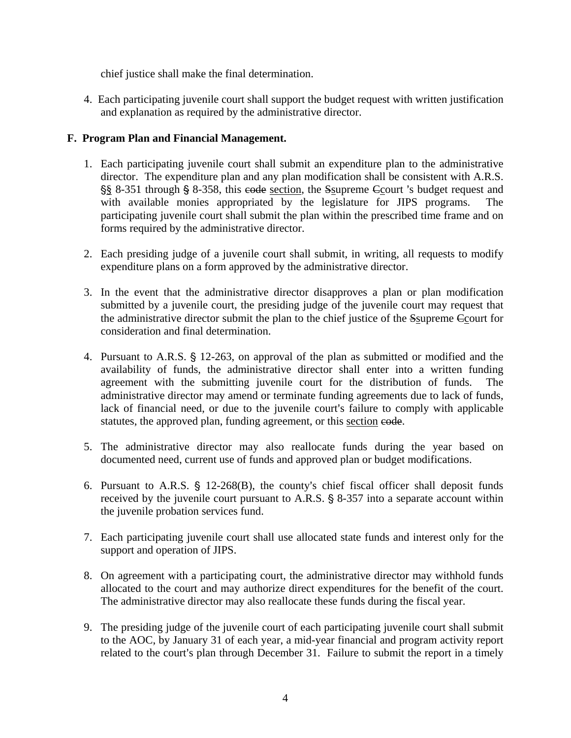chief justice shall make the final determination.

4. Each participating juvenile court shall support the budget request with written justification and explanation as required by the administrative director.

## **F. Program Plan and Financial Management.**

- 1. Each participating juvenile court shall submit an expenditure plan to the administrative director. The expenditure plan and any plan modification shall be consistent with A.R.S.  $\S$ § 8-351 through  $\S$  8-358, this eode section, the Ssupreme Ccourt 's budget request and with available monies appropriated by the legislature for JIPS programs. The participating juvenile court shall submit the plan within the prescribed time frame and on forms required by the administrative director.
- 2. Each presiding judge of a juvenile court shall submit, in writing, all requests to modify expenditure plans on a form approved by the administrative director.
- 3. In the event that the administrative director disapproves a plan or plan modification submitted by a juvenile court, the presiding judge of the juvenile court may request that the administrative director submit the plan to the chief justice of the Ssupreme Ccourt for consideration and final determination.
- 4. Pursuant to A.R.S. § 12-263, on approval of the plan as submitted or modified and the availability of funds, the administrative director shall enter into a written funding agreement with the submitting juvenile court for the distribution of funds. The administrative director may amend or terminate funding agreements due to lack of funds, lack of financial need, or due to the juvenile court's failure to comply with applicable statutes, the approved plan, funding agreement, or this section eode.
- 5. The administrative director may also reallocate funds during the year based on documented need, current use of funds and approved plan or budget modifications.
- 6. Pursuant to A.R.S.  $\S$  12-268(B), the county's chief fiscal officer shall deposit funds received by the juvenile court pursuant to A.R.S.  $\S$  8-357 into a separate account within the juvenile probation services fund.
- 7. Each participating juvenile court shall use allocated state funds and interest only for the support and operation of JIPS.
- 8. On agreement with a participating court, the administrative director may withhold funds allocated to the court and may authorize direct expenditures for the benefit of the court. The administrative director may also reallocate these funds during the fiscal year.
- 9. The presiding judge of the juvenile court of each participating juvenile court shall submit to the AOC, by January 31 of each year, a mid-year financial and program activity report related to the court's plan through December 31. Failure to submit the report in a timely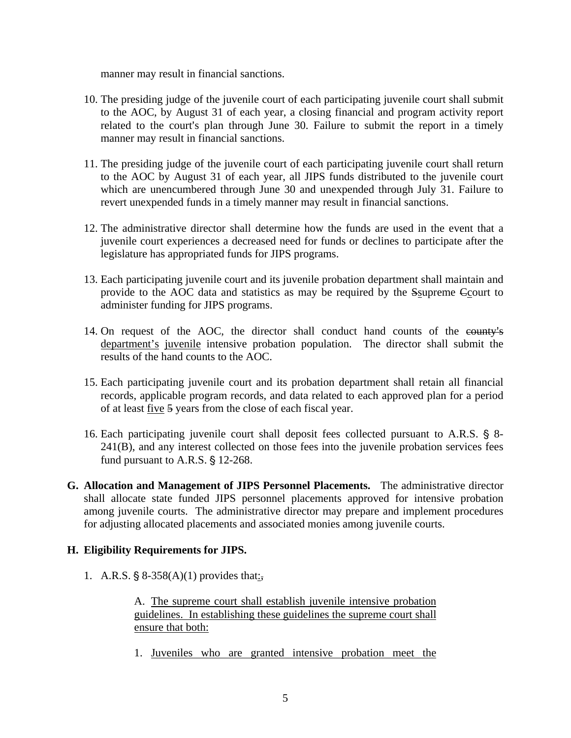manner may result in financial sanctions.

- 10. The presiding judge of the juvenile court of each participating juvenile court shall submit to the AOC, by August 31 of each year, a closing financial and program activity report related to the court's plan through June 30. Failure to submit the report in a timely manner may result in financial sanctions.
- 11. The presiding judge of the juvenile court of each participating juvenile court shall return to the AOC by August 31 of each year, all JIPS funds distributed to the juvenile court which are unencumbered through June 30 and unexpended through July 31. Failure to revert unexpended funds in a timely manner may result in financial sanctions.
- 12. The administrative director shall determine how the funds are used in the event that a juvenile court experiences a decreased need for funds or declines to participate after the legislature has appropriated funds for JIPS programs.
- 13. Each participating juvenile court and its juvenile probation department shall maintain and provide to the AOC data and statistics as may be required by the Ssupreme Ccourt to administer funding for JIPS programs.
- 14. On request of the AOC, the director shall conduct hand counts of the county's department's juvenile intensive probation population. The director shall submit the results of the hand counts to the AOC.
- 15. Each participating juvenile court and its probation department shall retain all financial records, applicable program records, and data related to each approved plan for a period of at least five 5 years from the close of each fiscal year.
- 16. Each participating juvenile court shall deposit fees collected pursuant to A.R.S. § 8-241(B), and any interest collected on those fees into the juvenile probation services fees fund pursuant to A.R.S.  $§$  12-268.
- **G. Allocation and Management of JIPS Personnel Placements.** The administrative director shall allocate state funded JIPS personnel placements approved for intensive probation among juvenile courts. The administrative director may prepare and implement procedures for adjusting allocated placements and associated monies among juvenile courts.

## **H. Eligibility Requirements for JIPS.**

1. A.R.S.  $\S 8-358(A)(1)$  provides that:

A. The supreme court shall establish juvenile intensive probation guidelines. In establishing these guidelines the supreme court shall ensure that both:

1. Juveniles who are granted intensive probation meet the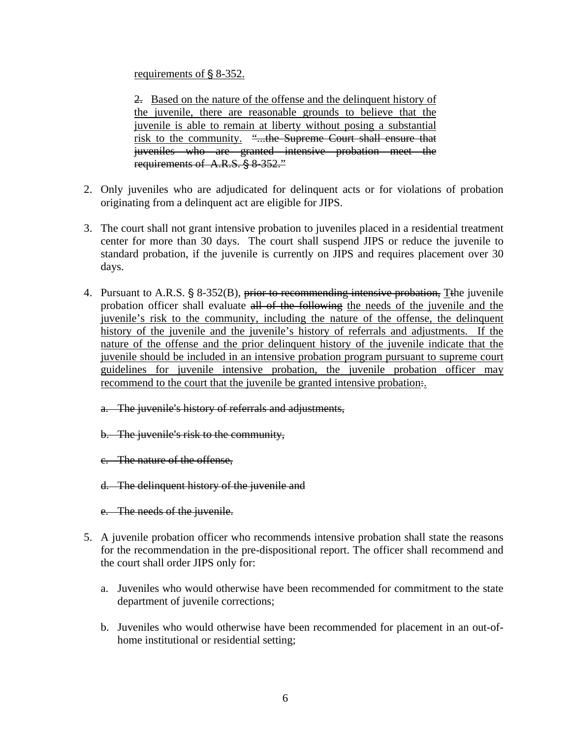requirements of  $\S$  8-352.

2. Based on the nature of the offense and the delinquent history of the juvenile, there are reasonable grounds to believe that the juvenile is able to remain at liberty without posing a substantial risk to the community. "...the Supreme Court shall ensure that juveniles who are granted intensive probation meet the requirements of  $A.R.S. \S 8-352."$ 

- 2. Only juveniles who are adjudicated for delinquent acts or for violations of probation originating from a delinquent act are eligible for JIPS.
- 3. The court shall not grant intensive probation to juveniles placed in a residential treatment center for more than 30 days. The court shall suspend JIPS or reduce the juvenile to standard probation, if the juvenile is currently on JIPS and requires placement over 30 days.
- 4. Pursuant to A.R.S. § 8-352(B), prior to recommending intensive probation, Tthe juvenile probation officer shall evaluate all of the following the needs of the juvenile and the juvenile's risk to the community, including the nature of the offense, the delinquent history of the juvenile and the juvenile's history of referrals and adjustments. If the nature of the offense and the prior delinquent history of the juvenile indicate that the juvenile should be included in an intensive probation program pursuant to supreme court guidelines for juvenile intensive probation, the juvenile probation officer may recommend to the court that the juvenile be granted intensive probation:.
	- a. The juvenile's history of referrals and adjustments,
	- b. The juvenile's risk to the community,
	- c. The nature of the offense,
	- d. The delinquent history of the juvenile and
	- e. The needs of the juvenile.
- 5. A juvenile probation officer who recommends intensive probation shall state the reasons for the recommendation in the pre-dispositional report. The officer shall recommend and the court shall order JIPS only for:
	- a. Juveniles who would otherwise have been recommended for commitment to the state department of juvenile corrections;
	- b. Juveniles who would otherwise have been recommended for placement in an out-ofhome institutional or residential setting;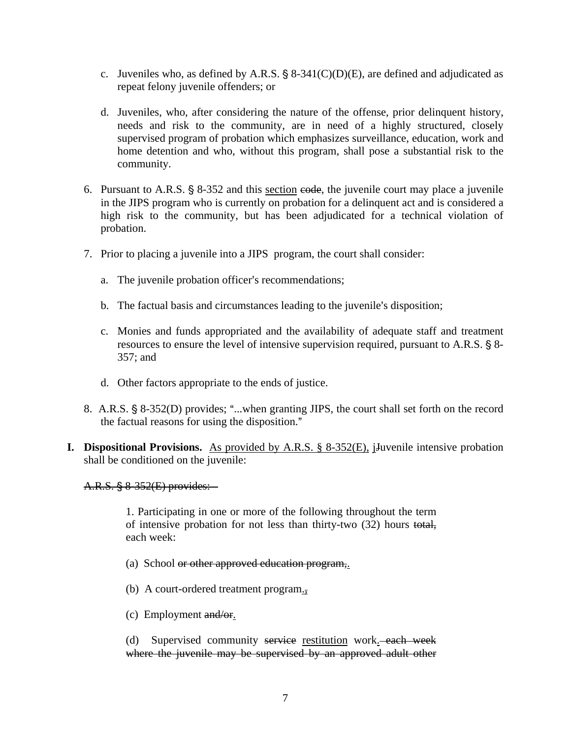- c. Juveniles who, as defined by A.R.S.  $\S$  8-341(C)(D)(E), are defined and adjudicated as repeat felony juvenile offenders; or
- d. Juveniles, who, after considering the nature of the offense, prior delinquent history, needs and risk to the community, are in need of a highly structured, closely supervised program of probation which emphasizes surveillance, education, work and home detention and who, without this program, shall pose a substantial risk to the community.
- 6. Pursuant to A.R.S.  $\S$  8-352 and this section e<del>ode</del>, the juvenile court may place a juvenile in the JIPS program who is currently on probation for a delinquent act and is considered a high risk to the community, but has been adjudicated for a technical violation of probation.
- 7. Prior to placing a juvenile into a JIPS program, the court shall consider:
	- a. The juvenile probation officer's recommendations;
	- b. The factual basis and circumstances leading to the juvenile's disposition;
	- c. Monies and funds appropriated and the availability of adequate staff and treatment resources to ensure the level of intensive supervision required, pursuant to A.R.S.  $\S$  8-357; and
	- d. Other factors appropriate to the ends of justice.
- 8. A.R.S. § 8-352(D) provides; "...when granting JIPS, the court shall set forth on the record the factual reasons for using the disposition."
- **I. Dispositional Provisions.** As provided by A.R.S. § 8-352(E), j<sub>J</sub> uven ile intensive probation shall be conditioned on the juvenile:

A.R.S. § 8-352(E) provides:

1. Participating in one or more of the following throughout the term of intensive probation for not less than thirty-two (32) hours total, each week:

- (a) School or other approved education program,.
- (b) A court-ordered treatment program.,
- (c) Employment and/or.

(d) Supervised community service restitution work. each week where the juvenile may be supervised by an approved adult other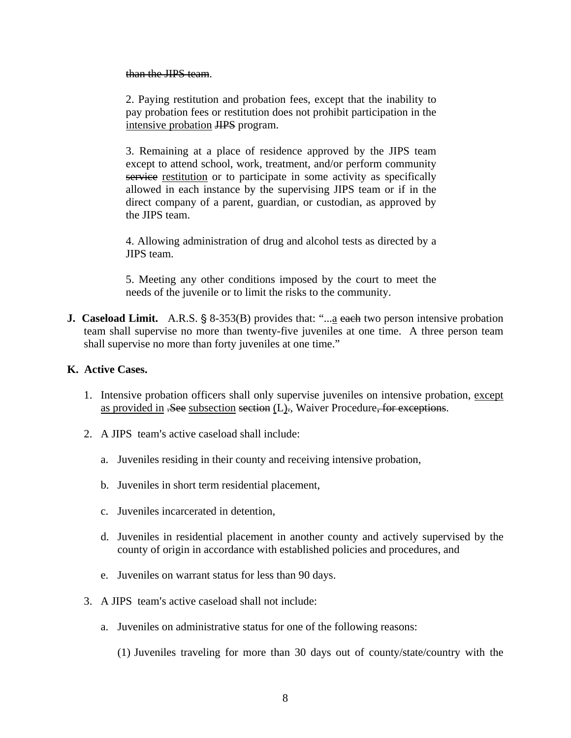#### than the JIPS team.

2. Paying restitution and probation fees, except that the inability to pay probation fees or restitution does not prohibit participation in the intensive probation JIPS program.

3. Remaining at a place of residence approved by the JIPS team except to attend school, work, treatment, and/or perform community service restitution or to participate in some activity as specifically allowed in each instance by the supervising JIPS team or if in the direct company of a parent, guardian, or custodian, as approved by the JIPS team.

4. Allowing administration of drug and alcohol tests as directed by a JIPS team.

5. Meeting any other conditions imposed by the court to meet the needs of the juvenile or to limit the risks to the community.

**J. Caseload Limit.** A.R.S. § 8-353(B) provides that: "...a each two person intensive probation team shall supervise no more than twenty-five juveniles at one time. A three person team shall supervise no more than forty juveniles at one time."

## **K. Active Cases.**

- 1. Intensive probation officers shall only supervise juveniles on intensive probation, except as provided in <del>.See</del> subsection section (L)., Waiver Procedure, for exceptions.
- 2. A JIPS team's active caseload shall include:
	- a. Juveniles residing in their county and receiving intensive probation,
	- b. Juveniles in short term residential placement,
	- c. Juveniles incarcerated in detention,
	- d. Juveniles in residential placement in another county and actively supervised by the county of origin in accordance with established policies and procedures, and
	- e. Juveniles on warrant status for less than 90 days.
- 3. A JIPS team's active caseload shall not include:
	- a. Juveniles on administrative status for one of the following reasons:
		- (1) Juveniles traveling for more than 30 days out of county/state/country with the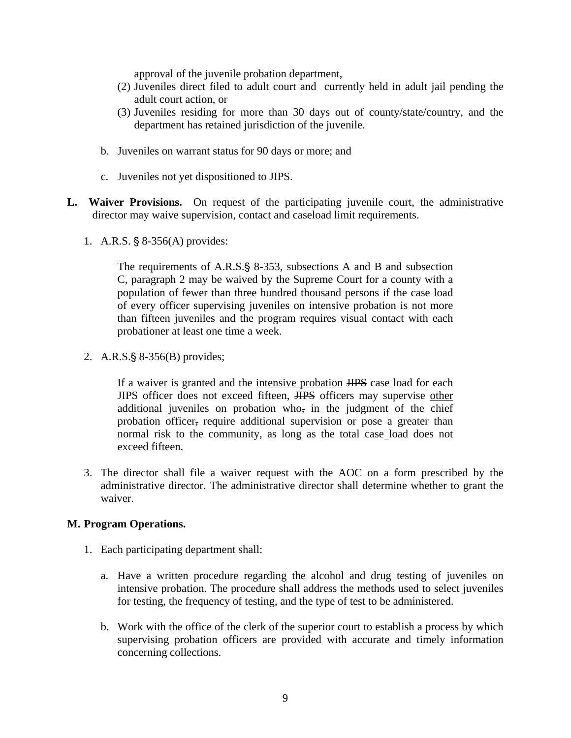approval of the juvenile probation department,

- (2) Juveniles direct filed to adult court and currently held in adult jail pending the adult court action, or
- (3) Juveniles residing for more than 30 days out of county/state/country, and the department has retained jurisdiction of the juvenile.
- b. Juveniles on warrant status for 90 days or more; and
- c. Juveniles not yet dispositioned to JIPS.
- **L. Waiver Provisions.** On request of the participating juvenile court, the administrative director may waive supervision, contact and caseload limit requirements.
	- 1. A.R.S.  $\S$  8-356(A) provides:

The requirements of A.R.S. § 8-353, subsections A and B and subsection C, paragraph 2 may be waived by the Supreme Court for a county with a population of fewer than three hundred thousand persons if the case load of every officer supervising juveniles on intensive probation is not more than fifteen juveniles and the program requires visual contact with each probationer at least one time a week.

2. A.R.S. $\S 8-356(B)$  provides;

If a waiver is granted and the intensive probation JIPS case load for each JIPS officer does not exceed fifteen, HPS officers may supervise other additional juveniles on probation who, in the judgment of the chief probation officer, require additional supervision or pose a greater than normal risk to the community, as long as the total case load does not exceed fifteen.

3. The director shall file a waiver request with the AOC on a form prescribed by the administrative director. The administrative director shall determine whether to grant the waiver.

## **M. Program Operations.**

- 1. Each participating department shall:
	- a. Have a written procedure regarding the alcohol and drug testing of juveniles on intensive probation. The procedure shall address the methods used to select juveniles for testing, the frequency of testing, and the type of test to be administered.
	- b. Work with the office of the clerk of the superior court to establish a process by which supervising probation officers are provided with accurate and timely information concerning collections.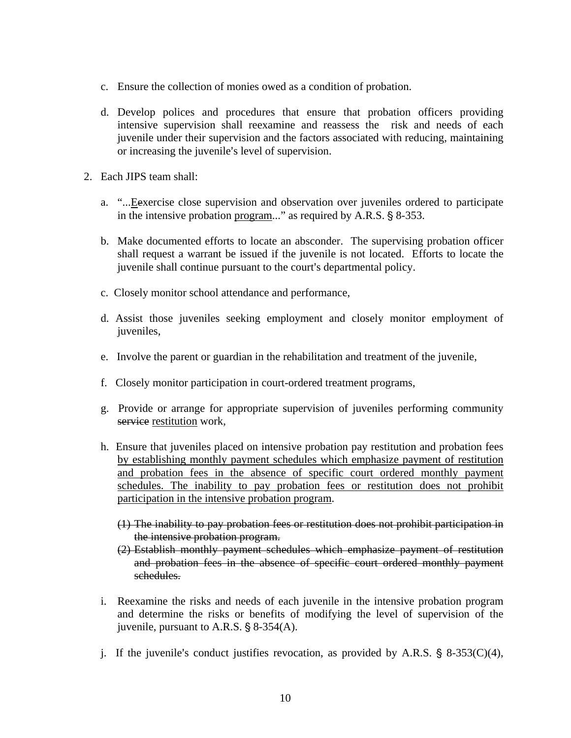- c. Ensure the collection of monies owed as a condition of probation.
- d. Develop polices and procedures that ensure that probation officers providing intensive supervision shall reexamine and reassess the risk and needs of each juvenile under their supervision and the factors associated with reducing, maintaining or increasing the juvenile's level of supervision.
- 2. Each JIPS team shall:
	- a. "...Eexercise close supervision and observation over juveniles ordered to participate in the intensive probation program..." as required by A.R.S.  $\S$  8-353.
	- b. Make documented efforts to locate an absconder. The supervising probation officer shall request a warrant be issued if the juvenile is not located. Efforts to locate the juvenile shall continue pursuant to the court's departmental policy.
	- c. Closely monitor school attendance and performance,
	- d. Assist those juveniles seeking employment and closely monitor employment of juveniles,
	- e. Involve the parent or guardian in the rehabilitation and treatment of the juvenile,
	- f. Closely monitor participation in court-ordered treatment programs,
	- g. Provide or arrange for appropriate supervision of juveniles performing community service restitution work,
	- h. Ensure that juveniles placed on intensive probation pay restitution and probation fees by establishing monthly payment schedules which emphasize payment of restitution and probation fees in the absence of specific court ordered monthly payment schedules. The inability to pay probation fees or restitution does not prohibit participation in the intensive probation program.
		- (1) The inability to pay probation fees or restitution does not prohibit participation in the intensive probation program.
		- (2) Establish monthly payment schedules which emphasize payment of restitution and probation fees in the absence of specific court ordered monthly payment schedules.
	- i. Reexamine the risks and needs of each juvenile in the intensive probation program and determine the risks or benefits of modifying the level of supervision of the juvenile, pursuant to A.R.S.  $\S$  8-354(A).
	- j. If the juvenile's conduct justifies revocation, as provided by A.R.S.  $\S$  8-353(C)(4),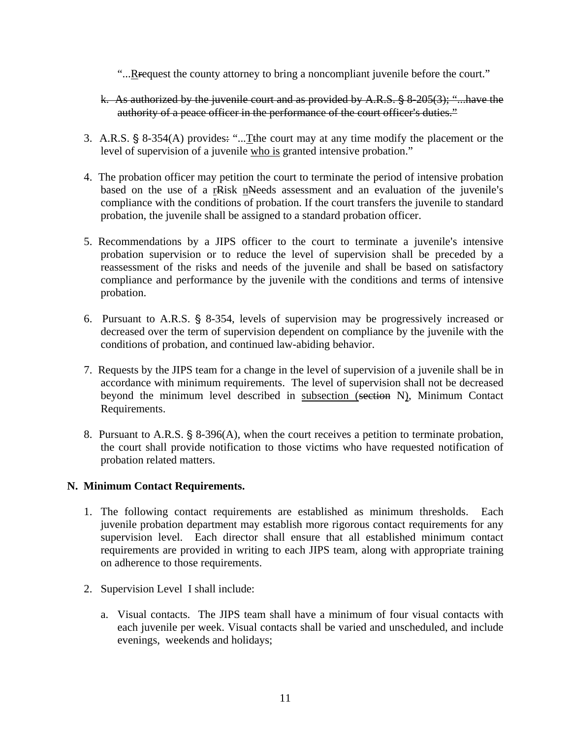- "....Refequest the county attorney to bring a noncompliant juvenile before the court."
- k. As authorized by the juvenile court and as provided by A.R.S.  $\S$  8-205(3); "...have the authority of a peace officer in the performance of the court officer's duties."
- 3. A.R.S. § 8-354(A) provides: "...Tthe court may at any time modify the placement or the level of supervision of a juvenile who is granted intensive probation."
- 4. The probation officer may petition the court to terminate the period of intensive probation based on the use of a rRisk nNeeds assessment and an evaluation of the juvenile's compliance with the conditions of probation. If the court transfers the juvenile to standard probation, the juvenile shall be assigned to a standard probation officer.
- 5. Recommendations by a JIPS officer to the court to terminate a juvenile's intensive probation supervision or to reduce the level of supervision shall be preceded by a reassessment of the risks and needs of the juvenile and shall be based on satisfactory compliance and performance by the juvenile with the conditions and terms of intensive probation.
- 6. Pursuant to A.R.S.  $\S$  8-354, levels of supervision may be progressively increased or decreased over the term of supervision dependent on compliance by the juvenile with the conditions of probation, and continued law-abiding behavior.
- 7. Requests by the JIPS team for a change in the level of supervision of a juvenile shall be in accordance with minimum requirements. The level of supervision shall not be decreased beyond the minimum level described in subsection (section N), Minimum Contact Requirements.
- 8. Pursuant to A.R.S.  $\S$  8-396(A), when the court receives a petition to terminate probation, the court shall provide notification to those victims who have requested notification of probation related matters.

## **N. Minimum Contact Requirements.**

- 1. The following contact requirements are established as minimum thresholds. Each juvenile probation department may establish more rigorous contact requirements for any supervision level. Each director shall ensure that all established minimum contact requirements are provided in writing to each JIPS team, along with appropriate training on adherence to those requirements.
- 2. Supervision Level I shall include:
	- a. Visual contacts. The JIPS team shall have a minimum of four visual contacts with each juvenile per week. Visual contacts shall be varied and unscheduled, and include evenings, weekends and holidays;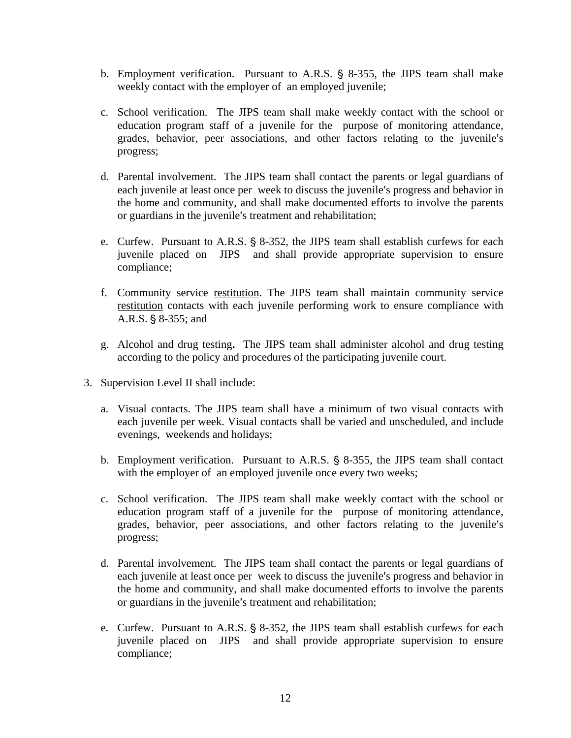- b. Employment verification. Pursuant to A.R.S.  $\S$  8-355, the JIPS team shall make weekly contact with the employer of an employed juvenile;
- c. School verification. The JIPS team shall make weekly contact with the school or education program staff of a juvenile for the purpose of monitoring attendance, grades, behavior, peer associations, and other factors relating to the juvenile's progress;
- d. Parental involvement. The JIPS team shall contact the parents or legal guardians of each juvenile at least once per week to discuss the juvenile's progress and behavior in the home and community, and shall make documented efforts to involve the parents or guardians in the juvenile's treatment and rehabilitation;
- e. Curfew. Pursuant to A.R.S.  $\S$  8-352, the JIPS team shall establish curfews for each juvenile placed on JIPS and shall provide appropriate supervision to ensure compliance;
- f. Community service restitution. The JIPS team shall maintain community service restitution contacts with each juvenile performing work to ensure compliance with A.R.S. § 8-355; and
- g. Alcohol and drug testing**.** The JIPS team shall administer alcohol and drug testing according to the policy and procedures of the participating juvenile court.
- 3. Supervision Level II shall include:
	- a. Visual contacts. The JIPS team shall have a minimum of two visual contacts with each juvenile per week. Visual contacts shall be varied and unscheduled, and include evenings, weekends and holidays;
	- b. Employment verification. Pursuant to A.R.S. § 8-355, the JIPS team shall contact with the employer of an employed juvenile once every two weeks;
	- c. School verification. The JIPS team shall make weekly contact with the school or education program staff of a juvenile for the purpose of monitoring attendance, grades, behavior, peer associations, and other factors relating to the juvenile's progress;
	- d. Parental involvement. The JIPS team shall contact the parents or legal guardians of each juvenile at least once per week to discuss the juvenile's progress and behavior in the home and community, and shall make documented efforts to involve the parents or guardians in the juvenile's treatment and rehabilitation;
	- e. Curfew. Pursuant to A.R.S.  $\S$  8-352, the JIPS team shall establish curfews for each juvenile placed on JIPS and shall provide appropriate supervision to ensure compliance;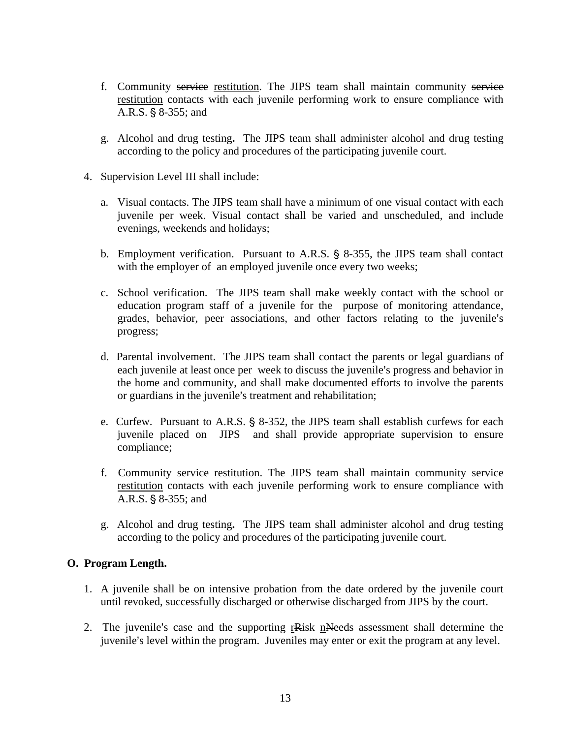- f. Community service restitution. The JIPS team shall maintain community service restitution contacts with each juvenile performing work to ensure compliance with A.R.S. § 8-355; and
- g. Alcohol and drug testing**.** The JIPS team shall administer alcohol and drug testing according to the policy and procedures of the participating juvenile court.
- 4. Supervision Level III shall include:
	- a. Visual contacts. The JIPS team shall have a minimum of one visual contact with each juvenile per week. Visual contact shall be varied and unscheduled, and include evenings, weekends and holidays;
	- b. Employment verification. Pursuant to A.R.S. § 8-355, the JIPS team shall contact with the employer of an employed juvenile once every two weeks;
	- c. School verification. The JIPS team shall make weekly contact with the school or education program staff of a juvenile for the purpose of monitoring attendance, grades, behavior, peer associations, and other factors relating to the juvenile's progress;
	- d. Parental involvement. The JIPS team shall contact the parents or legal guardians of each juvenile at least once per week to discuss the juvenile's progress and behavior in the home and community, and shall make documented efforts to involve the parents or guardians in the juvenile's treatment and rehabilitation;
	- e. Curfew. Pursuant to A.R.S.  $\S$  8-352, the JIPS team shall establish curfews for each juvenile placed on JIPS and shall provide appropriate supervision to ensure compliance;
	- f. Community service restitution. The JIPS team shall maintain community service restitution contacts with each juvenile performing work to ensure compliance with A.R.S. § 8-355; and
	- g. Alcohol and drug testing**.** The JIPS team shall administer alcohol and drug testing according to the policy and procedures of the participating juvenile court.

## **O. Program Length.**

- 1. A juvenile shall be on intensive probation from the date ordered by the juvenile court until revoked, successfully discharged or otherwise discharged from JIPS by the court.
- 2. The juvenile's case and the supporting rRisk nNeeds assessment shall determine the juvenile's level within the program. Juveniles may enter or exit the program at any level.